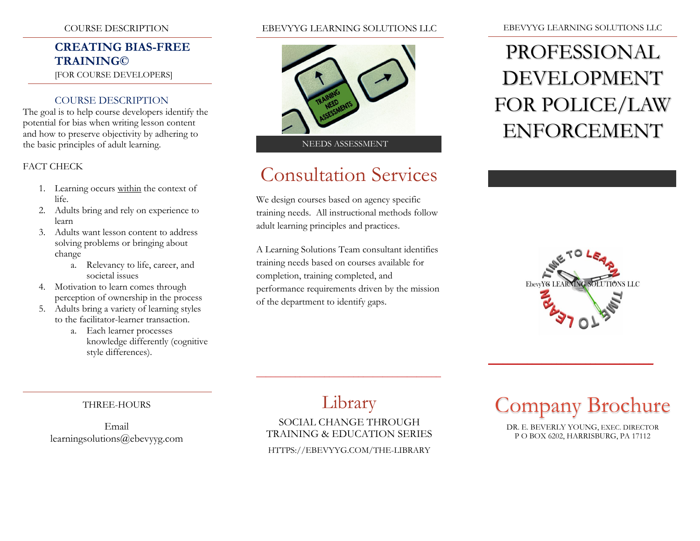### COURSE DESCRIPTION

## **CREATING BIAS-FREE TRAINING©**

[FOR COURSE DEVELOPERS]

### COURSE DESCRIPTION

The goal is to help course developers identify the potential for bias when writing lesson content and how to preserve objectivity by adhering to the basic principles of adult learning.

### FACT CHECK

- 1. Learning occurs within the context of life.
- 2. Adults bring and rely on experience to learn
- 3. Adults want lesson content to address solving problems or bringing about change
	- a. Relevancy to life, career, and societal issues
- 4. Motivation to learn comes through perception of ownership in the process
- 5. Adults bring a variety of learning styles to the facilitator-learner transaction.
	- a. Each learner processes knowledge differently (cognitive style differences).

### EBEVYYG LEARNING SOLUTIONS LLC



# Consultation Services

We design courses based on agency specific training needs. All instructional methods follow adult learning principles and practices.

A Learning Solutions Team consultant identifies training needs based on courses available for completion, training completed, and performance requirements driven by the mission of the department to identify gaps.

#### EBEVYYG LEARNING SOLUTIONS LLC

# PROFESSIONAL DEVELOPMENT FOR POLICE/LAW ENFORCEMENT



### THREE-HOURS

Email learningsolutions@ebevyyg.com

# Library

\_\_\_\_\_\_\_\_\_\_\_\_\_\_\_\_\_\_\_\_\_\_\_\_\_\_\_\_\_\_\_\_\_\_\_\_\_\_

## SOCIAL CHANGE THROUGH TRAINING & EDUCATION SERIES

HTTPS://EBEVYYG.COM/THE-LIBRARY

# Company Brochure

 $\overline{\phantom{a}}$  , and the set of the set of the set of the set of the set of the set of the set of the set of the set of the set of the set of the set of the set of the set of the set of the set of the set of the set of the s

DR. E. BEVERLY YOUNG, EXEC. DIRECTOR P O BOX 6202, HARRISBURG, PA 17112